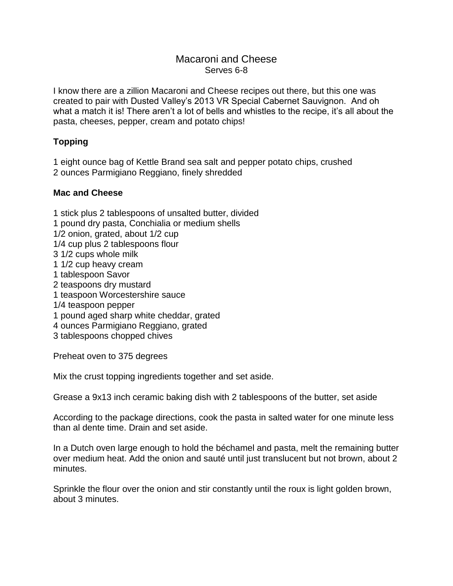## Macaroni and Cheese Serves 6-8

I know there are a zillion Macaroni and Cheese recipes out there, but this one was created to pair with Dusted Valley's 2013 VR Special Cabernet Sauvignon. And oh what a match it is! There aren't a lot of bells and whistles to the recipe, it's all about the pasta, cheeses, pepper, cream and potato chips!

## **Topping**

1 eight ounce bag of Kettle Brand sea salt and pepper potato chips, crushed 2 ounces Parmigiano Reggiano, finely shredded

## **Mac and Cheese**

1 stick plus 2 tablespoons of unsalted butter, divided

- 1 pound dry pasta, Conchialia or medium shells
- 1/2 onion, grated, about 1/2 cup
- 1/4 cup plus 2 tablespoons flour
- 3 1/2 cups whole milk
- 1 1/2 cup heavy cream
- 1 tablespoon Savor
- 2 teaspoons dry mustard
- 1 teaspoon Worcestershire sauce
- 1/4 teaspoon pepper
- 1 pound aged sharp white cheddar, grated
- 4 ounces Parmigiano Reggiano, grated
- 3 tablespoons chopped chives

Preheat oven to 375 degrees

Mix the crust topping ingredients together and set aside.

Grease a 9x13 inch ceramic baking dish with 2 tablespoons of the butter, set aside

According to the package directions, cook the pasta in salted water for one minute less than al dente time. Drain and set aside.

In a Dutch oven large enough to hold the béchamel and pasta, melt the remaining butter over medium heat. Add the onion and sauté until just translucent but not brown, about 2 minutes.

Sprinkle the flour over the onion and stir constantly until the roux is light golden brown, about 3 minutes.